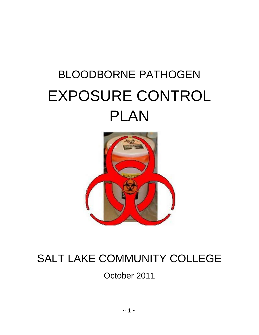# BLOODBORNE PATHOGEN EXPOSURE CONTROL PLAN



# SALT LAKE COMMUNITY COLLEGE

October 2011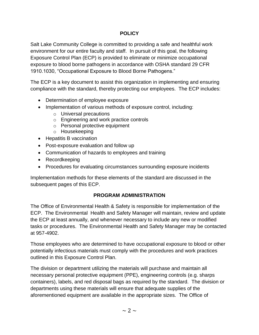#### **POLICY**

Salt Lake Community College is committed to providing a safe and healthful work environment for our entire faculty and staff. In pursuit of this goal, the following Exposure Control Plan (ECP) is provided to eliminate or minimize occupational exposure to blood borne pathogens in accordance with OSHA standard 29 CFR 1910.1030, "Occupational Exposure to Blood Borne Pathogens."

The ECP is a key document to assist this organization in implementing and ensuring compliance with the standard, thereby protecting our employees. The ECP includes:

- Determination of employee exposure
- Implementation of various methods of exposure control, including:
	- o Universal precautions
	- o Engineering and work practice controls
	- o Personal protective equipment
	- o Housekeeping
- Hepatitis B vaccination
- Post-exposure evaluation and follow up
- Communication of hazards to employees and training
- Recordkeeping
- Procedures for evaluating circumstances surrounding exposure incidents

Implementation methods for these elements of the standard are discussed in the subsequent pages of this ECP.

#### **PROGRAM ADMINISTRATION**

The Office of Environmental Health & Safety is responsible for implementation of the ECP. The Environmental Health and Safety Manager will maintain, review and update the ECP at least annually, and whenever necessary to include any new or modified tasks or procedures. The Environmental Health and Safety Manager may be contacted at 957-4902.

Those employees who are determined to have occupational exposure to blood or other potentially infectious materials must comply with the procedures and work practices outlined in this Exposure Control Plan.

The division or department utilizing the materials will purchase and maintain all necessary personal protective equipment (PPE), engineering controls (e.g. sharps containers), labels, and red disposal bags as required by the standard. The division or departments using these materials will ensure that adequate supplies of the aforementioned equipment are available in the appropriate sizes. The Office of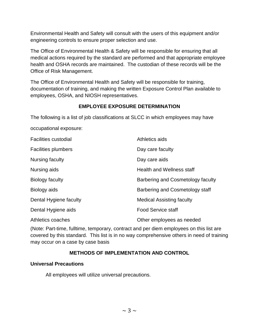Environmental Health and Safety will consult with the users of this equipment and/or engineering controls to ensure proper selection and use.

The Office of Environmental Health & Safety will be responsible for ensuring that all medical actions required by the standard are performed and that appropriate employee health and OSHA records are maintained. The custodian of these records will be the Office of Risk Management.

The Office of Environmental Health and Safety will be responsible for training, documentation of training, and making the written Exposure Control Plan available to employees, OSHA, and NIOSH representatives.

# **EMPLOYEE EXPOSURE DETERMINATION**

The following is a list of job classifications at SLCC in which employees may have

occupational exposure:

| <b>Facilities custodial</b> | Athletics aids                    |
|-----------------------------|-----------------------------------|
| <b>Facilities plumbers</b>  | Day care faculty                  |
| Nursing faculty             | Day care aids                     |
| Nursing aids                | <b>Health and Wellness staff</b>  |
| Biology faculty             | Barbering and Cosmetology faculty |
| Biology aids                | Barbering and Cosmetology staff   |
| Dental Hygiene faculty      | <b>Medical Assisting faculty</b>  |
| Dental Hygiene aids         | <b>Food Service staff</b>         |
| Athletics coaches           | Other employees as needed         |

(Note: Part-time, fulltime, temporary, contract and per diem employees on this list are covered by this standard. This list is in no way comprehensive others in need of training may occur on a case by case basis

# **METHODS OF IMPLEMENTATION AND CONTROL**

#### **Universal Precautions**

All employees will utilize universal precautions.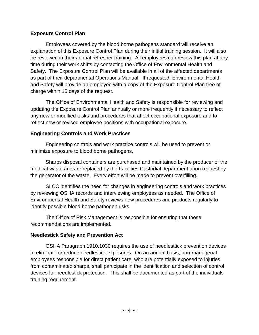#### **Exposure Control Plan**

Employees covered by the blood borne pathogens standard will receive an explanation of this Exposure Control Plan during their initial training session. It will also be reviewed in their annual refresher training. All employees can review this plan at any time during their work shifts by contacting the Office of Environmental Health and Safety. The Exposure Control Plan will be available in all of the affected departments as part of their departmental Operations Manual. If requested, Environmental Health and Safety will provide an employee with a copy of the Exposure Control Plan free of charge within 15 days of the request.

The Office of Environmental Health and Safety is responsible for reviewing and updating the Exposure Control Plan annually or more frequently if necessary to reflect any new or modified tasks and procedures that affect occupational exposure and to reflect new or revised employee positions with occupational exposure.

#### **Engineering Controls and Work Practices**

Engineering controls and work practice controls will be used to prevent or minimize exposure to blood borne pathogens.

Sharps disposal containers are purchased and maintained by the producer of the medical waste and are replaced by the Facilities Custodial department upon request by the generator of the waste. Every effort will be made to prevent overfilling.

SLCC identifies the need for changes in engineering controls and work practices by reviewing OSHA records and interviewing employees as needed. The Office of Environmental Health and Safety reviews new procedures and products regularly to identify possible blood borne pathogen risks.

The Office of Risk Management is responsible for ensuring that these recommendations are implemented.

#### **Needlestick Safety and Prevention Act**

OSHA Paragraph 1910.1030 requires the use of needlesttick prevention devices to eliminate or reduce needlestick exposures. On an annual basis, non-managerial employees responsible for direct patient care, who are potentially exposed to injuries from contaminated sharps, shall participate in the identification and selection of control devices for needlestick protection. This shall be documented as part of the individuals training requirement.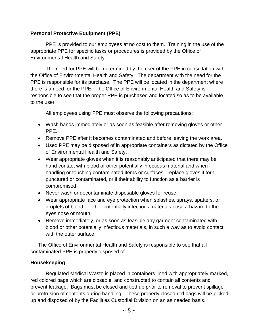#### **Personal Protective Equipment (PPE)**

PPE is provided to our employees at no cost to them. Training in the use of the appropriate PPE for specific tasks or procedures is provided by the Office of Environmental Health and Safety.

The need for PPE will be determined by the user of the PPE in consultation with the Office of Environmental Health and Safety. The department with the need for the PPE is responsible for its purchase. The PPE will be located in the department where there is a need for the PPE. The Office of Environmental Health and Safety is responsible to see that the proper PPE is purchased and located so as to be available to the user.

All employees using PPE must observe the following precautions:

- Wash hands immediately or as soon as feasible after removing gloves or other PPE.
- Remove PPE after it becomes contaminated and before leaving the work area.
- Used PPE may be disposed of in appropriate containers as dictated by the Office of Environmental Health and Safety.
- Wear appropriate gloves when it is reasonably anticipated that there may be hand contact with blood or other potentially infectious material and when handling or touching contaminated items or surfaces; replace gloves if torn, punctured or contaminated, or if their ability to function as a barrier is compromised.
- Never wash or decontaminate disposable gloves for reuse.
- Wear appropriate face and eye protection when splashes, sprays, spatters, or droplets of blood or other potentially infectious materials pose a hazard to the eyes nose or mouth.
- Remove immediately, or as soon as feasible any garment contaminated with blood or other potentially infectious materials, in such a way as to avoid contact with the outer surface.

The Office of Environmental Health and Safety is responsible to see that all contaminated PPE is properly disposed of.

#### **Housekeeping**

Regulated Medical Waste is placed in containers lined with appropriately marked, red colored bags which are closable, and constructed to contain all contents and prevent leakage. Bags must be closed and tied up prior to removal to prevent spillage or protrusion of contents during handling. These properly closed red bags will be picked up and disposed of by the Facilities Custodial Division on an as needed basis.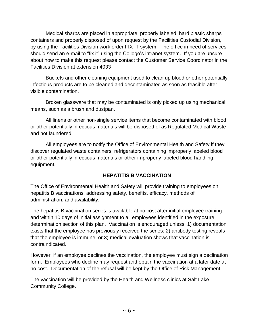Medical sharps are placed in appropriate, properly labeled, hard plastic sharps containers and properly disposed of upon request by the Facilities Custodial Division, by using the Facilities Division work order FIX IT system. The office in need of services should send an e-mail to "fix it" using the College's intranet system. If you are unsure about how to make this request please contact the Customer Service Coordinator in the Facilities Division at extension 4033

Buckets and other cleaning equipment used to clean up blood or other potentially infectious products are to be cleaned and decontaminated as soon as feasible after visible contamination.

Broken glassware that may be contaminated is only picked up using mechanical means, such as a brush and dustpan.

All linens or other non-single service items that become contaminated with blood or other potentially infectious materials will be disposed of as Regulated Medical Waste and not laundered.

All employees are to notify the Office of Environmental Health and Safety if they discover regulated waste containers, refrigerators containing improperly labeled blood or other potentially infectious materials or other improperly labeled blood handling equipment.

#### **HEPATITIS B VACCINATION**

The Office of Environmental Health and Safety will provide training to employees on hepatitis B vaccinations, addressing safety, benefits, efficacy, methods of administration, and availability.

The hepatitis B vaccination series is available at no cost after initial employee training and within 10 days of initial assignment to all employees identified in the exposure determination section of this plan. Vaccination is encouraged unless: 1) documentation exists that the employee has previously received the series; 2) antibody testing reveals that the employee is immune; or 3) medical evaluation shows that vaccination is contraindicated.

However, if an employee declines the vaccination, the employee must sign a declination form. Employees who decline may request and obtain the vaccination at a later date at no cost. Documentation of the refusal will be kept by the Office of Risk Management.

The vaccination will be provided by the Health and Wellness clinics at Salt Lake Community College.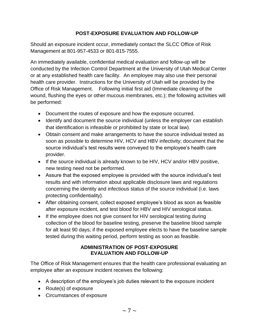#### **POST-EXPOSURE EVALUATION AND FOLLOW-UP**

Should an exposure incident occur, immediately contact the SLCC Office of Risk Management at 801-957-4533 or 801-815-7555.

An immediately available, confidential medical evaluation and follow-up will be conducted by the Infection Control Department at the University of Utah Medical Center or at any established health care facility. An employee may also use their personal health care provider. Instructions for the University of Utah will be provided by the Office of Risk Management. Following initial first aid (Immediate cleaning of the wound, flushing the eyes or other mucous membranes, etc.); the following activities will be performed:

- Document the routes of exposure and how the exposure occurred.
- Identify and document the source individual (unless the employer can establish that identification is infeasible or prohibited by state or local law).
- Obtain consent and make arrangements to have the source individual tested as soon as possible to determine HIV, HCV and HBV infectivity; document that the source individual's test results were conveyed to the employee's health care provider.
- If the source individual is already known to be HIV, HCV and/or HBV positive, new testing need not be performed.
- Assure that the exposed employee is provided with the source individual's test results and with information about applicable disclosure laws and regulations concerning the identity and infectious status of the source individual (i.e. laws protecting confidentiality).
- After obtaining consent, collect exposed employee's blood as soon as feasible after exposure incident, and test blood for HBV and HIV serological status.
- If the employee does not give consent for HIV serological testing during collection of the blood for baseline testing, preserve the baseline blood sample for alt least 90 days; if the exposed employee elects to have the baseline sample tested during this waiting period, perform testing as soon as feasible.

#### **ADMINISTRATION OF POST-EXPOSURE EVALUATION AND FOLLOW-UP**

The Office of Risk Management ensures that the health care professional evaluating an employee after an exposure incident receives the following:

- A description of the employee's job duties relevant to the exposure incident
- Route(s) of exposure
- Circumstances of exposure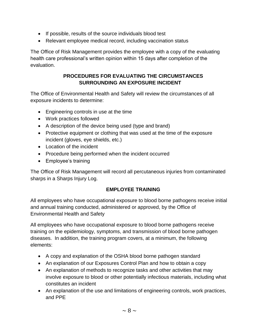- If possible, results of the source individuals blood test
- Relevant employee medical record, including vaccination status

The Office of Risk Management provides the employee with a copy of the evaluating health care professional's written opinion within 15 days after completion of the evaluation.

### **PROCEDURES FOR EVALUATING THE CIRCUMSTANCES SURROUNDING AN EXPOSURE INCIDENT**

The Office of Environmental Health and Safety will review the circumstances of all exposure incidents to determine:

- Engineering controls in use at the time
- Work practices followed
- A description of the device being used (type and brand)
- Protective equipment or clothing that was used at the time of the exposure incident (gloves, eye shields, etc.)
- Location of the incident
- Procedure being performed when the incident occurred
- Employee's training

The Office of Risk Management will record all percutaneous injuries from contaminated sharps in a Sharps Injury Log.

# **EMPLOYEE TRAINING**

All employees who have occupational exposure to blood borne pathogens receive initial and annual training conducted, administered or approved, by the Office of Environmental Health and Safety

All employees who have occupational exposure to blood borne pathogens receive training on the epidemiology, symptoms, and transmission of blood borne pathogen diseases. In addition, the training program covers, at a minimum, the following elements:

- A copy and explanation of the OSHA blood borne pathogen standard
- An explanation of our Exposures Control Plan and how to obtain a copy
- An explanation of methods to recognize tasks and other activities that may involve exposure to blood or other potentially infectious materials, including what constitutes an incident
- An explanation of the use and limitations of engineering controls, work practices, and PPE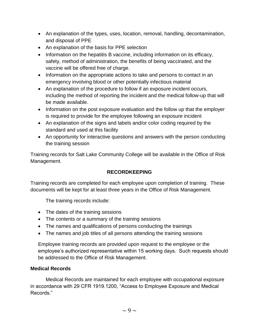- An explanation of the types, uses, location, removal, handling, decontamination, and disposal of PPE
- An explanation of the basis for PPE selection
- Information on the hepatitis B vaccine, including information on its efficacy, safety, method of administration, the benefits of being vaccinated, and the vaccine will be offered free of charge.
- Information on the appropriate actions to take and persons to contact in an emergency involving blood or other potentially infectious material
- An explanation of the procedure to follow if an exposure incident occurs, including the method of reporting the incident and the medical follow-up that will be made available.
- Information on the post exposure evaluation and the follow up that the employer is required to provide for the employee following an exposure incident
- An explanation of the signs and labels and/or color coding required by the standard and used at this facility
- An opportunity for interactive questions and answers with the person conducting the training session

Training records for Salt Lake Community College will be available in the Office of Risk Management.

# **RECORDKEEPING**

Training records are completed for each employee upon completion of training. These documents will be kept for at least three years in the Office of Risk Management.

The training records include:

- The dates of the training sessions
- The contents or a summary of the training sessions
- The names and qualifications of persons conducting the trainings
- The names and job titles of all persons attending the training sessions

Employee training records are provided upon request to the employee or the employee's authorized representative within 15 working days. Such requests should be addressed to the Office of Risk Management.

#### **Medical Records**

Medical Records are maintained for each employee with occupational exposure in accordance with 29 CFR 1919.1200, "Access to Employee Exposure and Medical Records."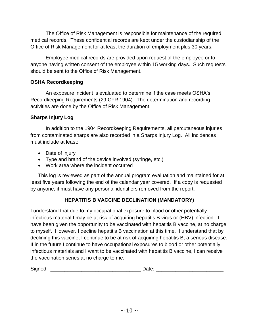The Office of Risk Management is responsible for maintenance of the required medical records. These confidential records are kept under the custodianship of the Office of Risk Management for at least the duration of employment plus 30 years.

Employee medical records are provided upon request of the employee or to anyone having written consent of the employee within 15 working days. Such requests should be sent to the Office of Risk Management.

#### **OSHA Recordkeeping**

An exposure incident is evaluated to determine if the case meets OSHA's Recordkeeping Requirements (29 CFR 1904). The determination and recording activities are done by the Office of Risk Management.

# **Sharps Injury Log**

In addition to the 1904 Recordkeeping Requirements, all percutaneous injuries from contaminated sharps are also recorded in a Sharps Injury Log. All incidences must include at least:

- Date of injury
- Type and brand of the device involved (syringe, etc.)
- Work area where the incident occurred

This log is reviewed as part of the annual program evaluation and maintained for at least five years following the end of the calendar year covered. If a copy is requested by anyone, it must have any personal identifiers removed from the report.

# **HEPATITIS B VACCINE DECLINATION (MANDATORY)**

I understand that due to my occupational exposure to blood or other potentially infectious material I may be at risk of acquiring hepatitis B virus or (HBV) infection. I have been given the opportunity to be vaccinated with hepatitis B vaccine, at no charge to myself. However, I decline hepatitis B vaccination at this time. I understand that by declining this vaccine, I continue to be at risk of acquiring hepatitis B, a serious disease. If in the future I continue to have occupational exposures to blood or other potentially infectious materials and I want to be vaccinated with hepatitis B vaccine, I can receive the vaccination series at no charge to me.

| Sian<br>$\mathbf{v}$<br>.<br>×. | _<br>---- |  |
|---------------------------------|-----------|--|
|                                 |           |  |